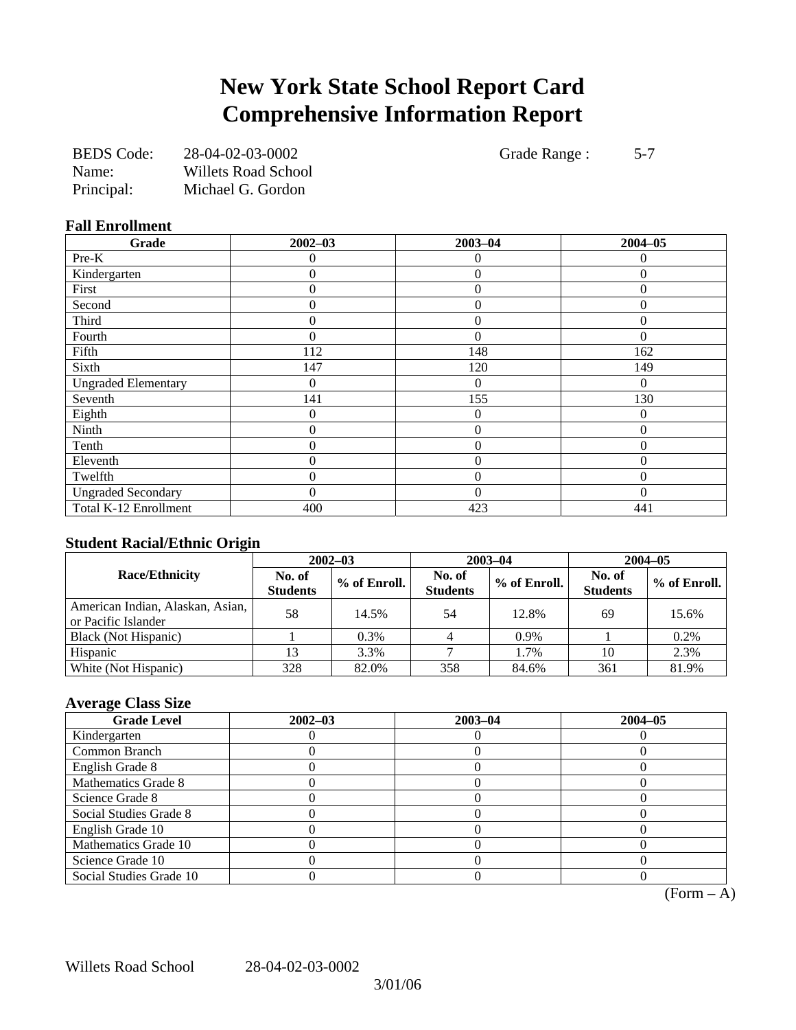# **New York State School Report Card Comprehensive Information Report**

| <b>BEDS</b> Code: | 28-04-02-03-0002    |
|-------------------|---------------------|
| Name:             | Willets Road School |
| Principal:        | Michael G. Gordon   |

Grade Range : 5-7

### **Fall Enrollment**

| Grade                      | $2002 - 03$      | $2003 - 04$      | $2004 - 05$ |
|----------------------------|------------------|------------------|-------------|
| Pre-K                      | 0                | 0                | 0           |
| Kindergarten               | 0                | $\overline{0}$   | $\Omega$    |
| First                      | 0                | $\overline{0}$   | $\Omega$    |
| Second                     | $\overline{0}$   | $\overline{0}$   | $\theta$    |
| Third                      | 0                | $\boldsymbol{0}$ | $\Omega$    |
| Fourth                     | $\theta$         | $\theta$         | $\Omega$    |
| Fifth                      | 112              | 148              | 162         |
| Sixth                      | 147              | 120              | 149         |
| <b>Ungraded Elementary</b> | $\overline{0}$   | $\overline{0}$   | $\Omega$    |
| Seventh                    | 141              | 155              | 130         |
| Eighth                     | $\boldsymbol{0}$ | $\boldsymbol{0}$ | $\Omega$    |
| Ninth                      | $\overline{0}$   | $\overline{0}$   | $\Omega$    |
| Tenth                      | $\theta$         | $\overline{0}$   | $\Omega$    |
| Eleventh                   | $\theta$         | $\theta$         | $\Omega$    |
| Twelfth                    | 0                | $\overline{0}$   | $\Omega$    |
| <b>Ungraded Secondary</b>  | 0                | $\Omega$         | $\Omega$    |
| Total K-12 Enrollment      | 400              | 423              | 441         |

# **Student Racial/Ethnic Origin**

| ້                                                       | $2002 - 03$               |              |                           | $2003 - 04$  | $2004 - 05$               |              |  |
|---------------------------------------------------------|---------------------------|--------------|---------------------------|--------------|---------------------------|--------------|--|
| <b>Race/Ethnicity</b>                                   | No. of<br><b>Students</b> | % of Enroll. | No. of<br><b>Students</b> | % of Enroll. | No. of<br><b>Students</b> | % of Enroll. |  |
| American Indian, Alaskan, Asian,<br>or Pacific Islander | 58                        | 14.5%        | 54                        | 12.8%        | 69                        | 15.6%        |  |
| Black (Not Hispanic)                                    |                           | 0.3%         |                           | 0.9%         |                           | 0.2%         |  |
| Hispanic                                                |                           | 3.3%         |                           | 1.7%         | 10                        | 2.3%         |  |
| White (Not Hispanic)                                    | 328                       | 82.0%        | 358                       | 84.6%        | 361                       | 81.9%        |  |

# **Average Class Size**

| <b>Grade Level</b>      | $2002 - 03$ | $2003 - 04$ | $2004 - 05$ |
|-------------------------|-------------|-------------|-------------|
| Kindergarten            |             |             |             |
| Common Branch           |             |             |             |
| English Grade 8         |             |             |             |
| Mathematics Grade 8     |             |             |             |
| Science Grade 8         |             |             |             |
| Social Studies Grade 8  |             |             |             |
| English Grade 10        |             |             |             |
| Mathematics Grade 10    |             |             |             |
| Science Grade 10        |             |             |             |
| Social Studies Grade 10 |             |             |             |

 $(Form - A)$ 

Willets Road School 28-04-02-03-0002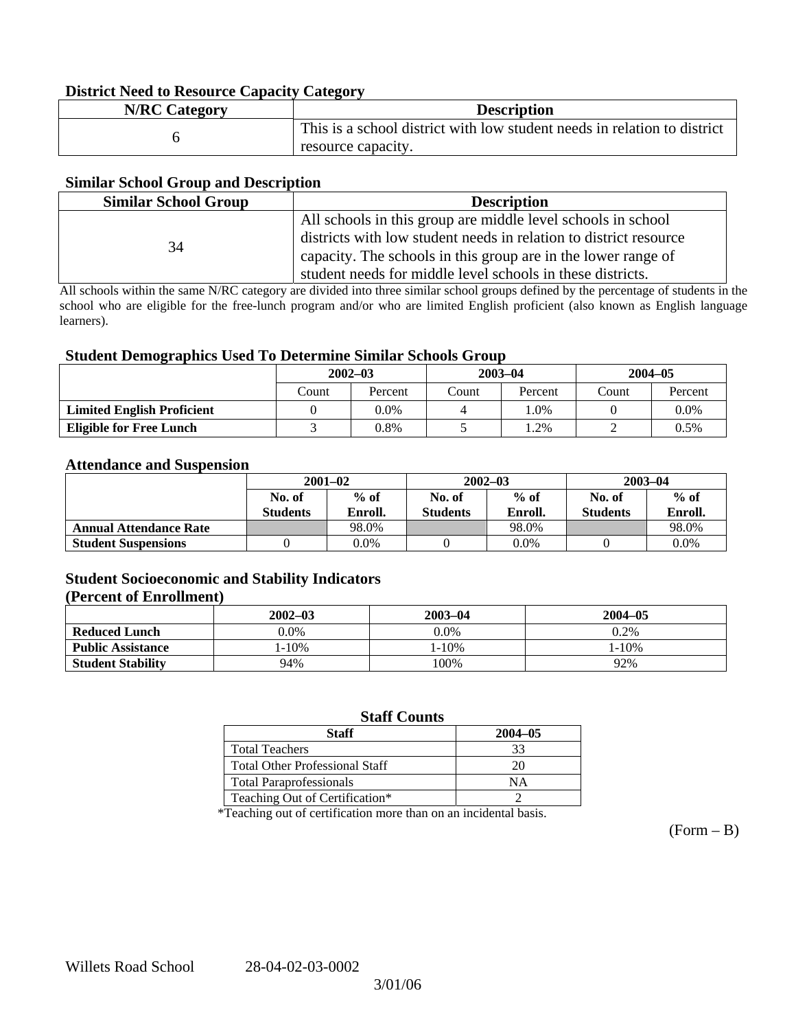### **District Need to Resource Capacity Category**

| <b>N/RC Category</b> | <b>Description</b>                                                       |
|----------------------|--------------------------------------------------------------------------|
|                      | This is a school district with low student needs in relation to district |
|                      | resource capacity.                                                       |

### **Similar School Group and Description**

| <b>Similar School Group</b> | <b>Description</b>                                                                                                                                                                                                                                               |  |  |  |
|-----------------------------|------------------------------------------------------------------------------------------------------------------------------------------------------------------------------------------------------------------------------------------------------------------|--|--|--|
| 34                          | All schools in this group are middle level schools in school<br>districts with low student needs in relation to district resource<br>capacity. The schools in this group are in the lower range of<br>student needs for middle level schools in these districts. |  |  |  |

All schools within the same N/RC category are divided into three similar school groups defined by the percentage of students in the school who are eligible for the free-lunch program and/or who are limited English proficient (also known as English language learners).

### **Student Demographics Used To Determine Similar Schools Group**

| ີ                                 | $2002 - 03$ |         | $2003 - 04$ |         | $2004 - 05$ |         |
|-----------------------------------|-------------|---------|-------------|---------|-------------|---------|
|                                   | Count       | Percent | Count       | Percent | Count       | Percent |
| <b>Limited English Proficient</b> |             | 0.0%    |             | $.0\%$  |             | $0.0\%$ |
| <b>Eligible for Free Lunch</b>    |             | 0.8%    |             | .2%     |             | 0.5%    |

#### **Attendance and Suspension**

|                               | $2001 - 02$               |                   |                           | $2002 - 03$       | $2003 - 04$               |                   |
|-------------------------------|---------------------------|-------------------|---------------------------|-------------------|---------------------------|-------------------|
|                               | No. of<br><b>Students</b> | $%$ of<br>Enroll. | No. of<br><b>Students</b> | $%$ of<br>Enroll. | No. of<br><b>Students</b> | $%$ of<br>Enroll. |
| <b>Annual Attendance Rate</b> |                           | 98.0%             |                           | 98.0%             |                           | 98.0%             |
| <b>Student Suspensions</b>    |                           | $0.0\%$           |                           | 0.0%              |                           | 0.0%              |

## **Student Socioeconomic and Stability Indicators**

#### **(Percent of Enrollment)**

|                          | $2002 - 03$ | $2003 - 04$ | $2004 - 05$ |
|--------------------------|-------------|-------------|-------------|
| <b>Reduced Lunch</b>     | $0.0\%$     | 0.0%        | 0.2%        |
| <b>Public Assistance</b> | $1 - 10\%$  | 1-10%       | $1 - 10\%$  |
| <b>Student Stability</b> | 94%         | 100%        | 92%         |

## **Staff Counts**

| Staff                                 | $2004 - 05$ |
|---------------------------------------|-------------|
| <b>Total Teachers</b>                 | 33          |
| <b>Total Other Professional Staff</b> | 20          |
| <b>Total Paraprofessionals</b>        | NΑ          |
| Teaching Out of Certification*        |             |

\*Teaching out of certification more than on an incidental basis.

 $(Form - B)$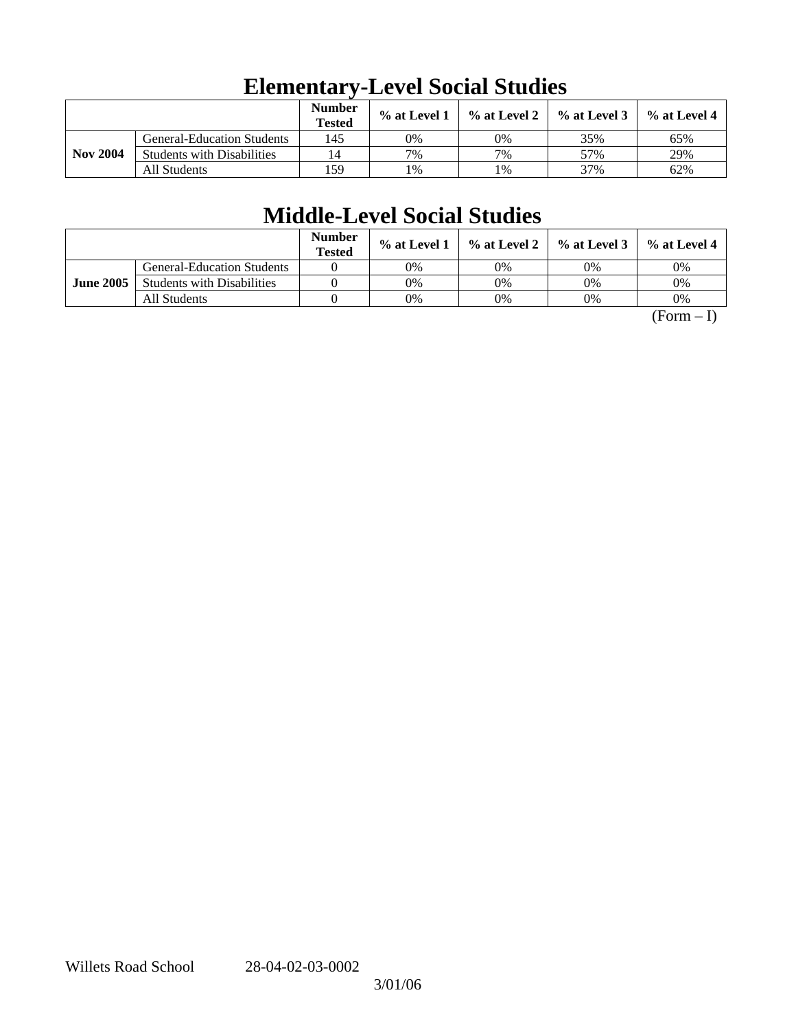|                 |                                   | <b>Number</b><br><b>Tested</b> | $\%$ at Level 1 | $\%$ at Level 2 | $%$ at Level 3 | % at Level 4 |
|-----------------|-----------------------------------|--------------------------------|-----------------|-----------------|----------------|--------------|
|                 | <b>General-Education Students</b> | 145                            | 0%              | 0%              | 35%            | 65%          |
| <b>Nov 2004</b> | <b>Students with Disabilities</b> | 14                             | 7%              | 7%              | 57%            | 29%          |
|                 | All Students                      | 159                            | 1%              | 1%              | 37%            | 62%          |

# **Elementary-Level Social Studies**

# **Middle-Level Social Studies**

|                  |                                   | <b>Number</b><br><b>Tested</b> | $\%$ at Level 1 |    | $\%$ at Level 2 $\%$ at Level 3 $\parallel$ | % at Level 4 |
|------------------|-----------------------------------|--------------------------------|-----------------|----|---------------------------------------------|--------------|
|                  | <b>General-Education Students</b> |                                | 0%              | 0% | 0%                                          | 0%           |
| <b>June 2005</b> | <b>Students with Disabilities</b> |                                | 0%              | 0% | 0%                                          | 0%           |
|                  | All Students                      |                                | 0%              | 0% | 0%                                          | 0%           |

 $(Form - I)$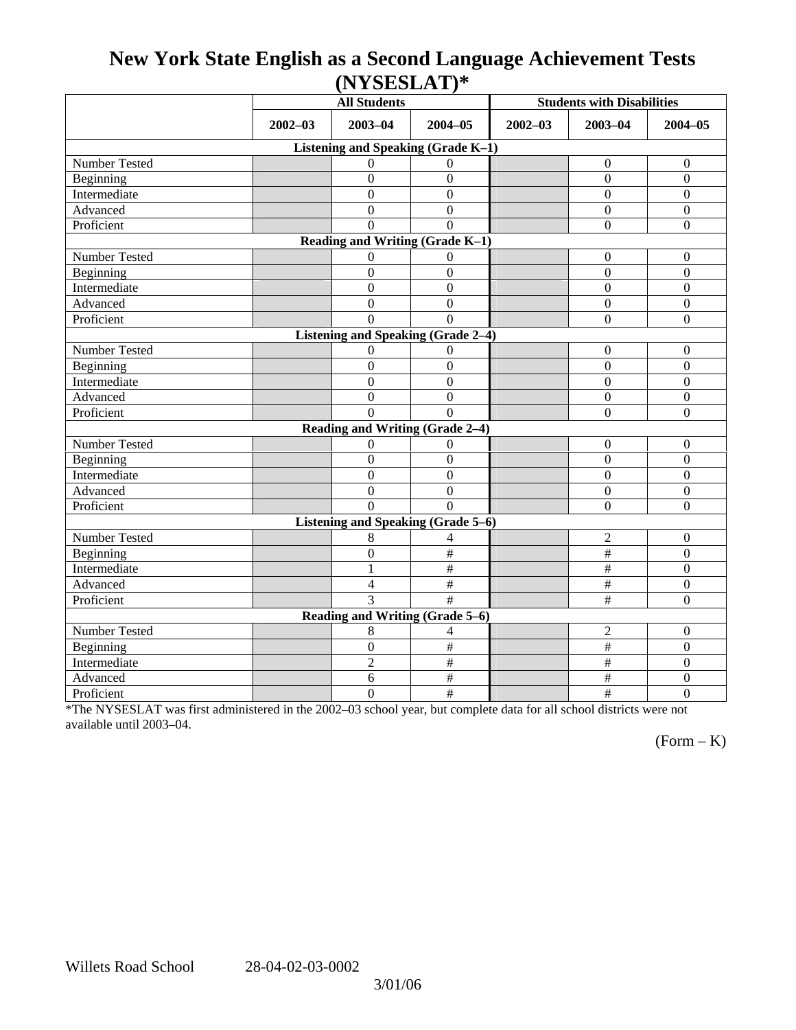# **New York State English as a Second Language Achievement Tests (NYSESLAT)\***

|                                    | <b>All Students</b> |                  |                           | <b>Students with Disabilities</b> |                           |                  |  |  |  |  |
|------------------------------------|---------------------|------------------|---------------------------|-----------------------------------|---------------------------|------------------|--|--|--|--|
|                                    | $2002 - 03$         | $2003 - 04$      | $2004 - 05$               | $2002 - 03$                       | $2003 - 04$               | $2004 - 05$      |  |  |  |  |
| Listening and Speaking (Grade K-1) |                     |                  |                           |                                   |                           |                  |  |  |  |  |
| Number Tested                      |                     | $\Omega$         | $\Omega$                  |                                   | $\boldsymbol{0}$          | $\boldsymbol{0}$ |  |  |  |  |
| Beginning                          |                     | $\overline{0}$   | $\mathbf{0}$              |                                   | $\theta$                  | $\overline{0}$   |  |  |  |  |
| Intermediate                       |                     | $\boldsymbol{0}$ | $\boldsymbol{0}$          |                                   | $\Omega$                  | $\boldsymbol{0}$ |  |  |  |  |
| Advanced                           |                     | $\theta$         | $\theta$                  |                                   | $\Omega$                  | $\mathbf{0}$     |  |  |  |  |
| Proficient                         |                     | $\Omega$         | $\Omega$                  |                                   | $\boldsymbol{0}$          | $\boldsymbol{0}$ |  |  |  |  |
| Reading and Writing (Grade K-1)    |                     |                  |                           |                                   |                           |                  |  |  |  |  |
| Number Tested                      |                     | 0                | $\theta$                  |                                   | $\mathbf{0}$              | $\boldsymbol{0}$ |  |  |  |  |
| Beginning                          |                     | $\overline{0}$   | $\boldsymbol{0}$          |                                   | $\boldsymbol{0}$          | $\mathbf{0}$     |  |  |  |  |
| Intermediate                       |                     | $\overline{0}$   | $\overline{0}$            |                                   | $\overline{0}$            | $\mathbf{0}$     |  |  |  |  |
| Advanced                           |                     | $\overline{0}$   | $\overline{0}$            |                                   | $\overline{0}$            | $\mathbf{0}$     |  |  |  |  |
| Proficient                         |                     | $\Omega$         | $\Omega$                  |                                   | $\overline{0}$            | $\mathbf{0}$     |  |  |  |  |
| Listening and Speaking (Grade 2-4) |                     |                  |                           |                                   |                           |                  |  |  |  |  |
| <b>Number Tested</b>               |                     | $\overline{0}$   | $\Omega$                  |                                   | $\boldsymbol{0}$          | $\boldsymbol{0}$ |  |  |  |  |
| Beginning                          |                     | $\boldsymbol{0}$ | $\overline{0}$            |                                   | $\overline{0}$            | $\boldsymbol{0}$ |  |  |  |  |
| Intermediate                       |                     | $\boldsymbol{0}$ | $\boldsymbol{0}$          |                                   | $\boldsymbol{0}$          | $\boldsymbol{0}$ |  |  |  |  |
| Advanced                           |                     | $\boldsymbol{0}$ | $\mathbf{0}$              |                                   | $\Omega$                  | $\boldsymbol{0}$ |  |  |  |  |
| Proficient                         |                     | $\Omega$         | $\Omega$                  |                                   | $\overline{0}$            | $\boldsymbol{0}$ |  |  |  |  |
| Reading and Writing (Grade 2-4)    |                     |                  |                           |                                   |                           |                  |  |  |  |  |
| Number Tested                      |                     | $\overline{0}$   | $\Omega$                  |                                   | $\boldsymbol{0}$          | $\boldsymbol{0}$ |  |  |  |  |
| Beginning                          |                     | $\boldsymbol{0}$ | $\mathbf{0}$              |                                   | $\overline{0}$            | $\mathbf{0}$     |  |  |  |  |
| Intermediate                       |                     | $\overline{0}$   | $\overline{0}$            |                                   | $\theta$                  | $\mathbf{0}$     |  |  |  |  |
| Advanced                           |                     | $\theta$         | $\mathbf{0}$              |                                   | $\overline{0}$            | $\mathbf{0}$     |  |  |  |  |
| Proficient                         |                     | $\Omega$         | $\Omega$                  |                                   | $\overline{0}$            | $\boldsymbol{0}$ |  |  |  |  |
| Listening and Speaking (Grade 5-6) |                     |                  |                           |                                   |                           |                  |  |  |  |  |
| Number Tested                      |                     | 8                | 4                         |                                   | $\overline{2}$            | $\boldsymbol{0}$ |  |  |  |  |
| Beginning                          |                     | $\boldsymbol{0}$ | $\#$                      |                                   | $\#$                      | $\boldsymbol{0}$ |  |  |  |  |
| Intermediate                       |                     | $\mathbf{1}$     | $\#$                      |                                   | $\#$                      | $\mathbf{0}$     |  |  |  |  |
| Advanced                           |                     | 4                | $\#$                      |                                   | $\#$                      | $\boldsymbol{0}$ |  |  |  |  |
| Proficient                         |                     | 3                | $\overline{\ddot{x}}$     |                                   | $\overline{\#}$           | $\boldsymbol{0}$ |  |  |  |  |
| Reading and Writing (Grade 5–6)    |                     |                  |                           |                                   |                           |                  |  |  |  |  |
| Number Tested                      |                     | 8                | 4                         |                                   | $\overline{c}$            | $\boldsymbol{0}$ |  |  |  |  |
| Beginning                          |                     | $\boldsymbol{0}$ | $\#$                      |                                   | $\#$                      | $\mathbf{0}$     |  |  |  |  |
| Intermediate                       |                     | $\overline{2}$   | $\overline{\overline{t}}$ |                                   | $\overline{\overline{t}}$ | $\overline{0}$   |  |  |  |  |
| Advanced                           |                     | 6                | $\#$                      |                                   | $\#$                      | $\boldsymbol{0}$ |  |  |  |  |
| Proficient                         |                     | $\overline{0}$   | $\#$                      |                                   | $\#$                      | $\overline{0}$   |  |  |  |  |

\*The NYSESLAT was first administered in the 2002–03 school year, but complete data for all school districts were not available until 2003–04.

 $(Form - K)$